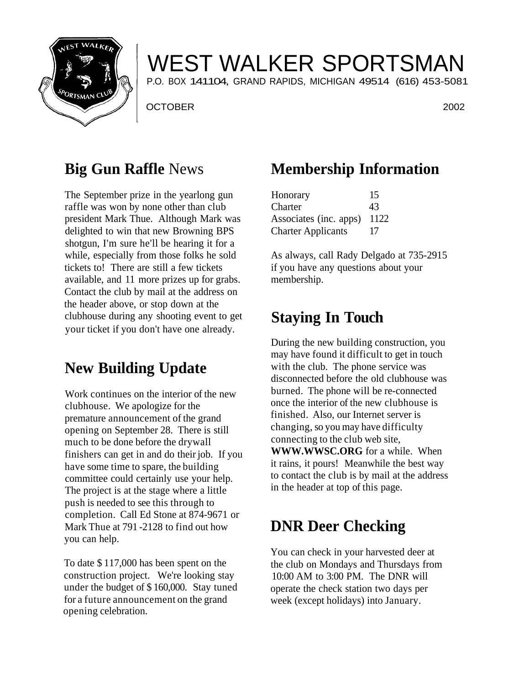

# WEST WALKER SPORTSMAN

P.O. BOX 141104, GRAND RAPIDS, MICHIGAN 49514 (616) 453-5081

OCTOBER 2002

#### **Big Gun Raffle** News

The September prize in the yearlong gun raffle was won by none other than club president Mark Thue. Although Mark was delighted to win that new Browning BPS shotgun, I'm sure he'll be hearing it for a while, especially from those folks he sold tickets to! There are still a few tickets available, and 11 more prizes up for grabs. Contact the club by mail at the address on the header above, or stop down at the clubhouse during any shooting event to get your ticket if you don't have one already.

### **New Building Update**

Work continues on the interior of the new clubhouse. We apologize for the premature announcement of the grand opening on September 28. There is still much to be done before the drywall finishers can get in and do their job. If you have some time to spare, the building committee could certainly use your help. The project is at the stage where a little push is needed to see this through to completion. Call Ed Stone at 874-9671 or Mark Thue at 791 -2128 to find out how you can help.

To date \$ 117,000 has been spent on the construction project. We're looking stay under the budget of \$ 160,000. Stay tuned for a future announcement on the grand opening celebration.

## **Membership Information**

| Honorary                  | 15     |
|---------------------------|--------|
| Charter                   | 43     |
| Associates (inc. apps)    | - 1122 |
| <b>Charter Applicants</b> | 17     |

As always, call Rady Delgado at 735-2915 if you have any questions about your membership.

### **Staying In Touch**

During the new building construction, you may have found it difficult to get in touch with the club. The phone service was disconnected before the old clubhouse was burned. The phone will be re-connected once the interior of the new clubhouse is finished. Also, our Internet server is changing, so you may have difficulty connecting to the club web site, **WWW.WWSC.ORG** for a while. When it rains, it pours! Meanwhile the best way to contact the club is by mail at the address in the header at top of this page.

## **DNR Deer Checking**

You can check in your harvested deer at the club on Mondays and Thursdays from 10:00 AM to 3:00 PM. The DNR will operate the check station two days per week (except holidays) into January.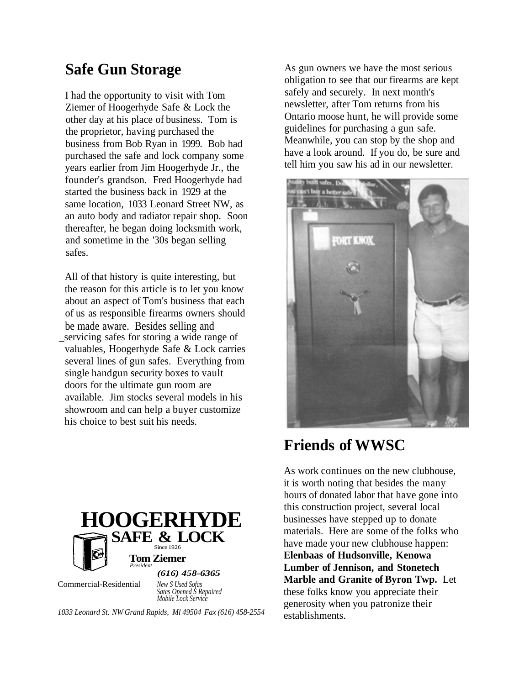### **Safe Gun Storage**

I had the opportunity to visit with Tom Ziemer of Hoogerhyde Safe & Lock the other day at his place of business. Tom is the proprietor, having purchased the business from Bob Ryan in 1999. Bob had purchased the safe and lock company some years earlier from Jim Hoogerhyde Jr., the founder's grandson. Fred Hoogerhyde had started the business back in 1929 at the same location, 1033 Leonard Street NW, as an auto body and radiator repair shop. Soon thereafter, he began doing locksmith work, and sometime in the '30s began selling safes.

All of that history is quite interesting, but the reason for this article is to let you know about an aspect of Tom's business that each of us as responsible firearms owners should be made aware. Besides selling and \_servicing safes for storing a wide range of valuables, Hoogerhyde Safe & Lock carries several lines of gun safes. Everything from single handgun security boxes to vault doors for the ultimate gun room are available. Jim stocks several models in his showroom and can help a buyer customize his choice to best suit his needs.



Commercial-Residential

*New S Used Sofas Sates Opened S Repaired Mobile Lock Service*

*1033 Leonard St. NW Grand Rapids, Ml 49504 Fax (616) 458-2554*

As gun owners we have the most serious obligation to see that our firearms are kept safely and securely. In next month's newsletter, after Tom returns from his Ontario moose hunt, he will provide some guidelines for purchasing a gun safe. Meanwhile, you can stop by the shop and have a look around. If you do, be sure and tell him you saw his ad in our newsletter.



### **Friends of WWSC**

As work continues on the new clubhouse, it is worth noting that besides the many hours of donated labor that have gone into this construction project, several local businesses have stepped up to donate materials. Here are some of the folks who have made your new clubhouse happen: **Elenbaas of Hudsonville, Kenowa Lumber of Jennison, and Stonetech Marble and Granite of Byron Twp.** Let these folks know you appreciate their generosity when you patronize their establishments.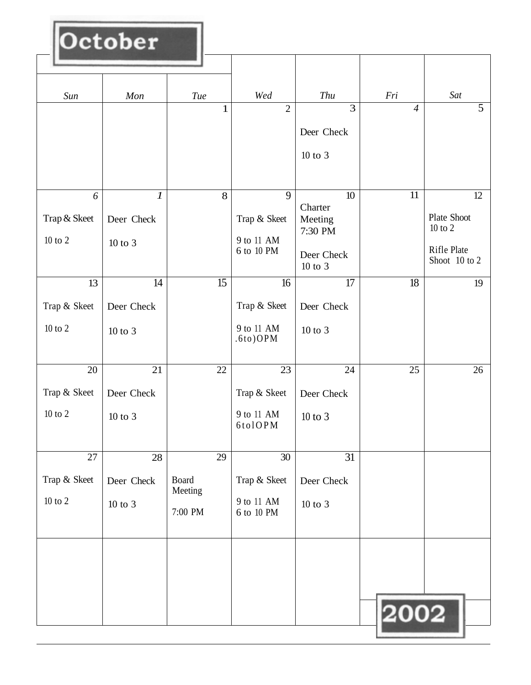| Wed<br>Thu<br>Fri<br>Sat<br>Sun<br>Mon<br>Tue<br>$\overline{5}$<br>3<br>$\overline{2}$<br>$\mathbf{1}$<br>$\overline{4}$<br>Deer Check<br>$10$ to $3$<br>9<br>$\boldsymbol{l}$<br>8<br>11<br>6<br>10<br>12<br>Charter<br>Plate Shoot<br>Trap & Skeet<br>Trap & Skeet<br>Deer Check<br>Meeting<br>$10$ to $2$<br>7:30 PM<br>9 to 11 AM<br>$10$ to $2\,$<br>10 to 3<br>Rifle Plate<br>6 to 10 PM<br>Deer Check<br>Shoot 10 to 2<br>10 to 3<br>$\overline{15}$<br>$\overline{17}$<br>18<br>13<br>14<br>16<br>19<br>Trap & Skeet<br>Trap & Skeet<br>Deer Check<br>Deer Check<br>$10$ to $2\,$<br>9 to 11 AM<br>$10$ to $3$<br>$10$ to $3$<br>$.6$ to) $OPM$<br>22<br>20<br>24<br>25<br>26<br>21<br>23<br>Trap & Skeet<br>Trap & Skeet<br>Deer Check<br>Deer Check<br>$10$ to $2\,$<br>9 to 11 AM<br>$10$ to $3\,$<br>$10$ to $\sqrt{3}$<br>6tolOPM<br>31<br>29<br>30<br>27<br>28<br>Trap & Skeet<br><b>Board</b><br>Trap & Skeet<br>Deer Check<br>Deer Check<br>Meeting<br>$10$ to $2\,$<br>9 to 11 AM<br>$10$ to $\sqrt{3}$<br>$10$ to $\sqrt{3}$<br>7:00 PM<br>6 to 10 PM | October |  |  |  |
|-------------------------------------------------------------------------------------------------------------------------------------------------------------------------------------------------------------------------------------------------------------------------------------------------------------------------------------------------------------------------------------------------------------------------------------------------------------------------------------------------------------------------------------------------------------------------------------------------------------------------------------------------------------------------------------------------------------------------------------------------------------------------------------------------------------------------------------------------------------------------------------------------------------------------------------------------------------------------------------------------------------------------------------------------------------------------|---------|--|--|--|
|                                                                                                                                                                                                                                                                                                                                                                                                                                                                                                                                                                                                                                                                                                                                                                                                                                                                                                                                                                                                                                                                         |         |  |  |  |
|                                                                                                                                                                                                                                                                                                                                                                                                                                                                                                                                                                                                                                                                                                                                                                                                                                                                                                                                                                                                                                                                         |         |  |  |  |
|                                                                                                                                                                                                                                                                                                                                                                                                                                                                                                                                                                                                                                                                                                                                                                                                                                                                                                                                                                                                                                                                         |         |  |  |  |
|                                                                                                                                                                                                                                                                                                                                                                                                                                                                                                                                                                                                                                                                                                                                                                                                                                                                                                                                                                                                                                                                         |         |  |  |  |
|                                                                                                                                                                                                                                                                                                                                                                                                                                                                                                                                                                                                                                                                                                                                                                                                                                                                                                                                                                                                                                                                         |         |  |  |  |
| 2002                                                                                                                                                                                                                                                                                                                                                                                                                                                                                                                                                                                                                                                                                                                                                                                                                                                                                                                                                                                                                                                                    |         |  |  |  |